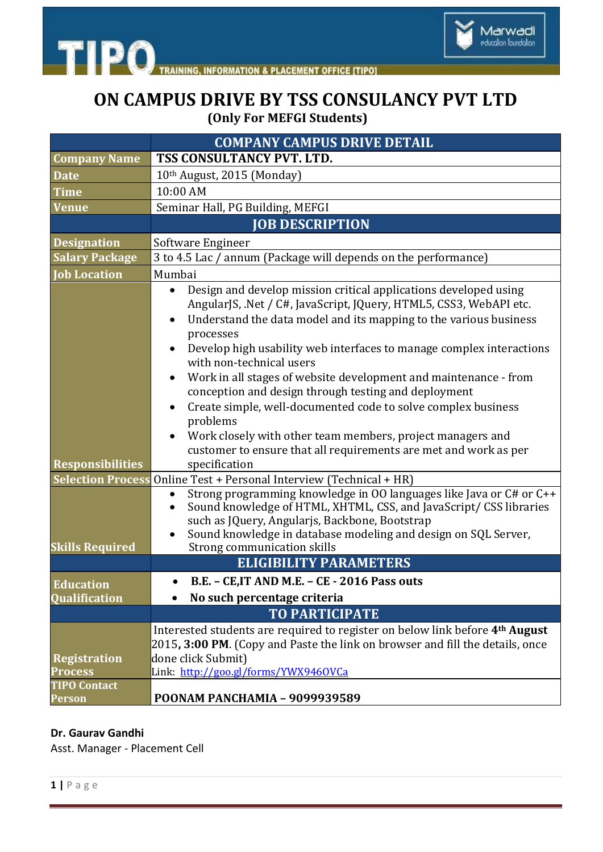



## **ON CAMPUS DRIVE BY TSS CONSULANCY PVT LTD (Only For MEFGI Students)**

|                                       | <b>COMPANY CAMPUS DRIVE DETAIL</b>                                                                                                                                                                                                                                                                                                                                                                                                                                                                                                                                                                                                                                                                    |
|---------------------------------------|-------------------------------------------------------------------------------------------------------------------------------------------------------------------------------------------------------------------------------------------------------------------------------------------------------------------------------------------------------------------------------------------------------------------------------------------------------------------------------------------------------------------------------------------------------------------------------------------------------------------------------------------------------------------------------------------------------|
| <b>Company Name</b>                   | TSS CONSULTANCY PVT. LTD.                                                                                                                                                                                                                                                                                                                                                                                                                                                                                                                                                                                                                                                                             |
| <b>Date</b>                           | 10th August, 2015 (Monday)                                                                                                                                                                                                                                                                                                                                                                                                                                                                                                                                                                                                                                                                            |
| <b>Time</b>                           | 10:00 AM                                                                                                                                                                                                                                                                                                                                                                                                                                                                                                                                                                                                                                                                                              |
| <b>Venue</b>                          | Seminar Hall, PG Building, MEFGI                                                                                                                                                                                                                                                                                                                                                                                                                                                                                                                                                                                                                                                                      |
|                                       | <b>JOB DESCRIPTION</b>                                                                                                                                                                                                                                                                                                                                                                                                                                                                                                                                                                                                                                                                                |
| <b>Designation</b>                    | Software Engineer                                                                                                                                                                                                                                                                                                                                                                                                                                                                                                                                                                                                                                                                                     |
| <b>Salary Package</b>                 | 3 to 4.5 Lac / annum (Package will depends on the performance)                                                                                                                                                                                                                                                                                                                                                                                                                                                                                                                                                                                                                                        |
| <b>Job Location</b>                   | Mumbai                                                                                                                                                                                                                                                                                                                                                                                                                                                                                                                                                                                                                                                                                                |
| <b>Responsibilities</b>               | Design and develop mission critical applications developed using<br>AngularJS, .Net / C#, JavaScript, JQuery, HTML5, CSS3, WebAPI etc.<br>Understand the data model and its mapping to the various business<br>processes<br>Develop high usability web interfaces to manage complex interactions<br>with non-technical users<br>Work in all stages of website development and maintenance - from<br>conception and design through testing and deployment<br>Create simple, well-documented code to solve complex business<br>$\bullet$<br>problems<br>Work closely with other team members, project managers and<br>customer to ensure that all requirements are met and work as per<br>specification |
| <b>Selection Process</b>              | Online Test + Personal Interview (Technical + HR)                                                                                                                                                                                                                                                                                                                                                                                                                                                                                                                                                                                                                                                     |
| <b>Skills Required</b>                | Strong programming knowledge in OO languages like Java or C# or C++<br>Sound knowledge of HTML, XHTML, CSS, and JavaScript/ CSS libraries<br>such as JQuery, Angularjs, Backbone, Bootstrap<br>Sound knowledge in database modeling and design on SQL Server,<br>Strong communication skills                                                                                                                                                                                                                                                                                                                                                                                                          |
| <b>ELIGIBILITY PARAMETERS</b>         |                                                                                                                                                                                                                                                                                                                                                                                                                                                                                                                                                                                                                                                                                                       |
| <b>Education</b>                      | B.E. - CE.IT AND M.E. - CE - 2016 Pass outs                                                                                                                                                                                                                                                                                                                                                                                                                                                                                                                                                                                                                                                           |
| <b>Oualification</b>                  | No such percentage criteria                                                                                                                                                                                                                                                                                                                                                                                                                                                                                                                                                                                                                                                                           |
|                                       | <b>TO PARTICIPATE</b>                                                                                                                                                                                                                                                                                                                                                                                                                                                                                                                                                                                                                                                                                 |
| <b>Registration</b><br><b>Process</b> | Interested students are required to register on below link before 4 <sup>th</sup> August<br>2015, 3:00 PM. (Copy and Paste the link on browser and fill the details, once<br>done click Submit)<br>Link: http://goo.gl/forms/YWX9460VCa                                                                                                                                                                                                                                                                                                                                                                                                                                                               |
| <b>TIPO Contact</b><br><b>Person</b>  | POONAM PANCHAMIA - 9099939589                                                                                                                                                                                                                                                                                                                                                                                                                                                                                                                                                                                                                                                                         |

## **Dr. Gaurav Gandhi**

Asst. Manager - Placement Cell